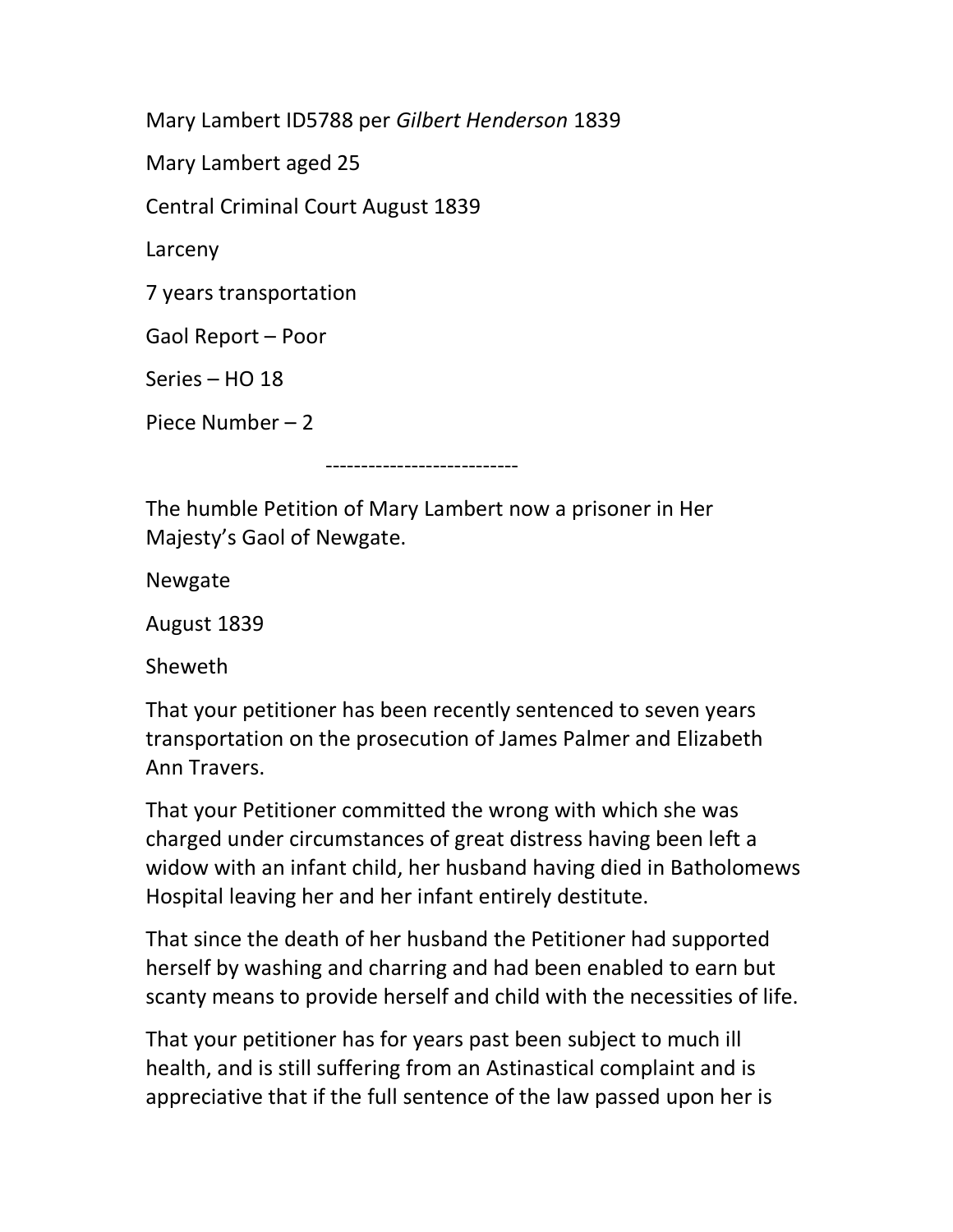Mary Lambert ID5788 per Gilbert Henderson 1839

Mary Lambert aged 25

Central Criminal Court August 1839

Larceny

7 years transportation

Gaol Report – Poor

Series – HO 18

Piece Number – 2

---------------------------

The humble Petition of Mary Lambert now a prisoner in Her Majesty's Gaol of Newgate.

Newgate

August 1839

Sheweth

That your petitioner has been recently sentenced to seven years transportation on the prosecution of James Palmer and Elizabeth Ann Travers.

That your Petitioner committed the wrong with which she was charged under circumstances of great distress having been left a widow with an infant child, her husband having died in Batholomews Hospital leaving her and her infant entirely destitute.

That since the death of her husband the Petitioner had supported herself by washing and charring and had been enabled to earn but scanty means to provide herself and child with the necessities of life.

That your petitioner has for years past been subject to much ill health, and is still suffering from an Astinastical complaint and is appreciative that if the full sentence of the law passed upon her is